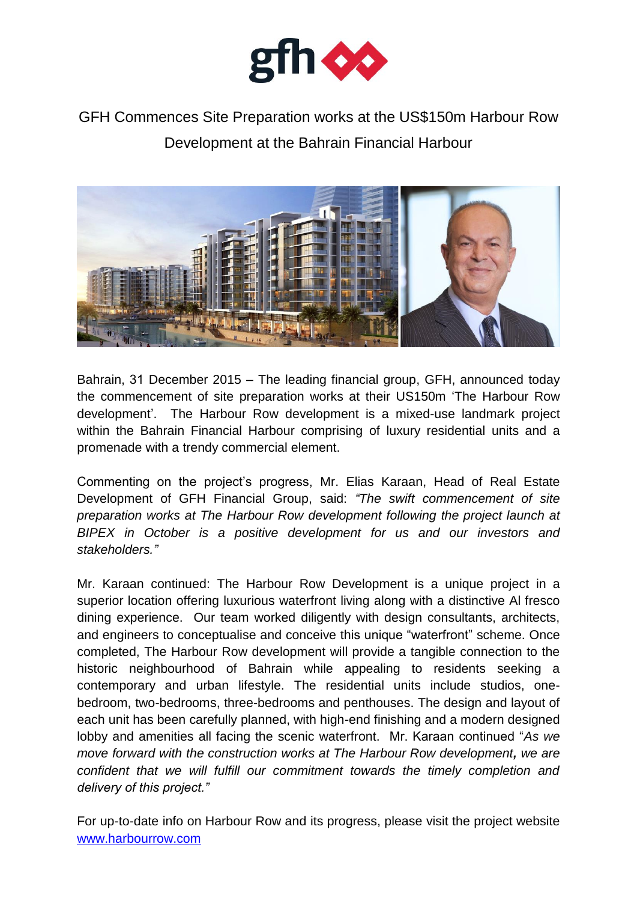

## GFH Commences Site Preparation works at the US\$150m Harbour Row Development at the Bahrain Financial Harbour



Bahrain, 31 December 2015 – The leading financial group, GFH, announced today the commencement of site preparation works at their US150m "The Harbour Row development". The Harbour Row development is a mixed-use landmark project within the Bahrain Financial Harbour comprising of luxury residential units and a promenade with a trendy commercial element.

Commenting on the project's progress, Mr. Elias Karaan, Head of Real Estate Development of GFH Financial Group, said: *"The swift commencement of site preparation works at The Harbour Row development following the project launch at BIPEX in October is a positive development for us and our investors and stakeholders."*

Mr. Karaan continued: The Harbour Row Development is a unique project in a superior location offering luxurious waterfront living along with a distinctive Al fresco dining experience. Our team worked diligently with design consultants, architects, and engineers to conceptualise and conceive this unique "waterfront" scheme. Once completed, The Harbour Row development will provide a tangible connection to the historic neighbourhood of Bahrain while appealing to residents seeking a contemporary and urban lifestyle. The residential units include studios, onebedroom, two-bedrooms, three-bedrooms and penthouses. The design and layout of each unit has been carefully planned, with high-end finishing and a modern designed lobby and amenities all facing the scenic waterfront. Mr. Karaan continued "*As we move forward with the construction works at The Harbour Row development, we are confident that we will fulfill our commitment towards the timely completion and delivery of this project."*

For up-to-date info on Harbour Row and its progress, please visit the project website [www.harbourrow.com](http://www.harbourrow.com/)